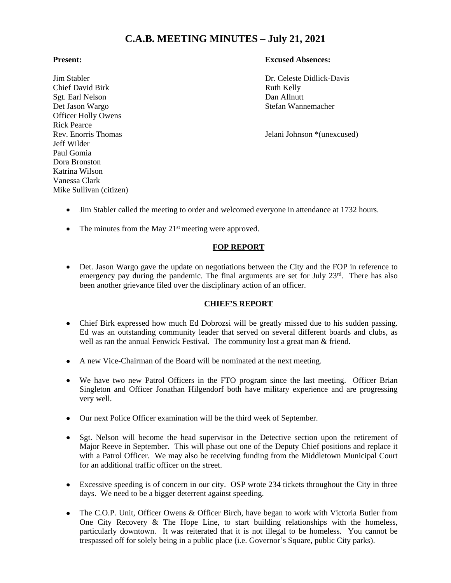# **C.A.B. MEETING MINUTES – July 21, 2021**

Chief David Birk Ruth Kelly<br>
Set. Earl Nelson Ruth Kelly<br>
Dan Allnutt Sgt. Earl Nelson Det Jason Wargo Stefan Wannemacher Officer Holly Owens Rick Pearce Jeff Wilder Paul Gomia Dora Bronston Katrina Wilson Vanessa Clark Mike Sullivan (citizen)

# **Present: Excused Absences:**

Jim Stabler Dr. Celeste Didlick-Davis

Rev. Enorris Thomas Jelani Johnson \*(unexcused)

- Jim Stabler called the meeting to order and welcomed everyone in attendance at 1732 hours.
- The minutes from the May  $21<sup>st</sup>$  meeting were approved.

# **FOP REPORT**

 Det. Jason Wargo gave the update on negotiations between the City and the FOP in reference to emergency pay during the pandemic. The final arguments are set for July 23rd. There has also been another grievance filed over the disciplinary action of an officer.

# **CHIEF'S REPORT**

- Chief Birk expressed how much Ed Dobrozsi will be greatly missed due to his sudden passing. Ed was an outstanding community leader that served on several different boards and clubs, as well as ran the annual Fenwick Festival. The community lost a great man & friend.
- A new Vice-Chairman of the Board will be nominated at the next meeting.
- We have two new Patrol Officers in the FTO program since the last meeting. Officer Brian Singleton and Officer Jonathan Hilgendorf both have military experience and are progressing very well.
- Our next Police Officer examination will be the third week of September.
- Sgt. Nelson will become the head supervisor in the Detective section upon the retirement of Major Reeve in September. This will phase out one of the Deputy Chief positions and replace it with a Patrol Officer. We may also be receiving funding from the Middletown Municipal Court for an additional traffic officer on the street.
- Excessive speeding is of concern in our city. OSP wrote 234 tickets throughout the City in three days. We need to be a bigger deterrent against speeding.
- The C.O.P. Unit, Officer Owens & Officer Birch, have began to work with Victoria Butler from One City Recovery & The Hope Line, to start building relationships with the homeless, particularly downtown. It was reiterated that it is not illegal to be homeless. You cannot be trespassed off for solely being in a public place (i.e. Governor's Square, public City parks).